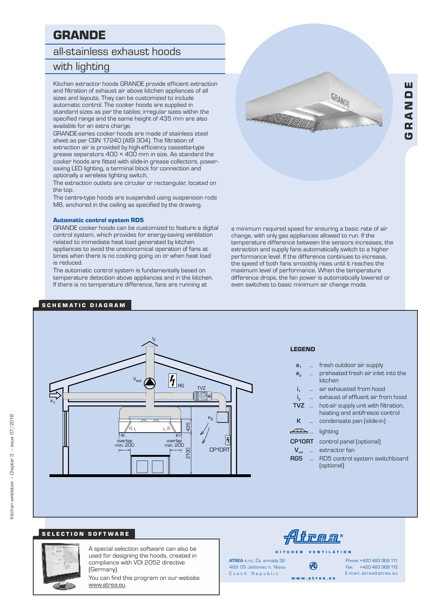# GRANDE

# all-stainless exhaust hoods

# with lighting

and filtration of exhaust air above kitchen appliances of all sizes and layouts. They can be customized to include automatic control. The cooker hoods are supplied in standard sizes as per the tables; irregular sizes within the specified range and the same height of 435 mm are also available for an extra charge.

GRANDE-series cooker hoods are made of stainless steel sheet as per CSN 17240 (AISI 304). The filtration of extraction air is provided by high-efficiency cassette-type grease separators 400 × 400 mm in size. As standard the cooker hoods are fitted with slide-in grease collectors, powersaving LED lighting, a terminal block for connection and optionally a wireless lighting switch.

The extraction outlets are circular or rectangular, located on the top.

The centre-type hoods are suspended using suspension rods M8, anchored in the ceiling as specified by the drawing.

#### Automatic control system RD5

GRANDE cooker hoods can be customized to feature a digital control system, which provides for energy-saving ventilation related to immediate heat load generated by kitchen appliances to avoid the uneconomical operation of fans at times when there is no cooking going on or when heat load is reduced.

The automatic control system is fundamentally based on temperature detection above appliances and in the kitchen. If there is no temperature difference, fans are running at

## S CHEMATIC DIAGRAM



Gœ  $\blacktriangleleft$ ND

a minimum required speed for ensuring a basic rate of air change, with only gas appliances allowed to run. If the temperature difference between the sensors increases, the extraction and supply fans automatically switch to a higher performance level. If the difference continues to increase, the speed of both fans smoothly rises until it reaches the maximum level of performance. When the temperature difference drops, the fan power is automatically lowered or even switches to basic minimum air change mode.

#### i<sub>2</sub>  $\overline{\mathbf{z}}_{\tiny{\textrm{RG}}}$ Vext  $T\sqrt{7}$ l©e e<sub>1</sub>  $e_2$  $435$ 2100 435 i, i, K K  $\overline{y}$ overlar overlap min. 200 overiap<br>200 min. CP10RT pope

#### LEGEND

| e <sub>1</sub>   |                          | fresh outdoor air supply                                               |
|------------------|--------------------------|------------------------------------------------------------------------|
| e <sub>2</sub>   | $\overline{\phantom{a}}$ | preheated fresh air inlet into the<br>kitchen                          |
| i,               | $\ddotsc$                | air exhausted from hood                                                |
| i.               |                          | exhaust of effluent air from hood                                      |
| $TVZ$            |                          | hot-air supply unit with filtration,<br>heating and antifreeze control |
| К                | $\sim$                   | condensate pan (slide-in)                                              |
| ∠≅               |                          | lighting                                                               |
| <b>CP10RT</b>    |                          | control panel (optional)                                               |
| $V_{\text{ext}}$ | $\sim$                   | extractor fan                                                          |
| RG5              | $\ddotsc$                | RD5 control system switchboard<br>(optional)                           |

# SELECTION SOFTWARE



A special selection software can also be used for designing the hoods, created in compliance with VDI 2052 directive (Germany).

You can find this program on our website www.atrea.eu.

trear

K I T C H E N V E N T I L A T I O N

Czech Republic **ATREA** s.r.o., Čs. armády 32 466 05 Jablonec n. Nisou

Ð w w w . a t r e a . e u

Fax: +420 483 368 112 Phone: +420 483 368 111 E-mail: atrea@atrea.eu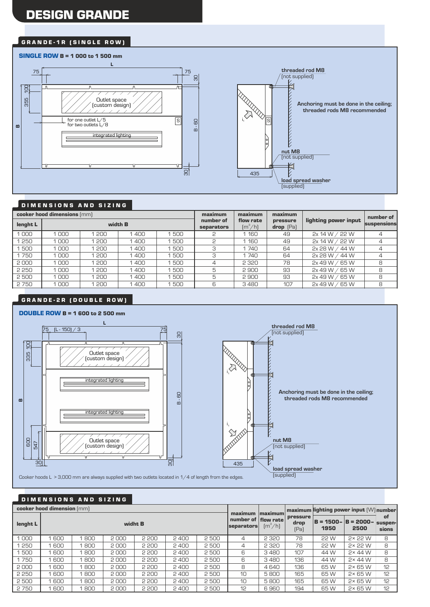# DESIGN GRANDE

#### GRANDE-1R (SINGLE ROW)

#### SINGLE ROW B = 1 000 to 1 500 mm **L threaded rod M8** 75 75 (not supplied) 30 100 Δ Δ il Killa R 355 Outlet space  $\frac{1}{2}$  (custom design) **Anchoring must be done in the ceiling; threaded rods M8 recommended**  $\sqrt{s}$ B - 60 for one outlet L/5 for two outlets L/8 S **B**integrated lighting Ε **nut M8** (not supplied)  $\overline{a}$ 435 **load spread washer** (supplied)

#### DIMENSIONS AND SIZING

|          |      | cooker hood dimensions (mm) |      |     | maximum<br>number of | maximum                                         | maximum                   |                      | number of   |  |
|----------|------|-----------------------------|------|-----|----------------------|-------------------------------------------------|---------------------------|----------------------|-------------|--|
| lenght L |      | width <b>B</b>              |      |     |                      | flow rate<br>$\left[\text{m}^3/\text{h}\right]$ | pressure<br>$drop$ $[Pa]$ | lighting power input | suspensions |  |
| 000      | 000  | 200                         | 1400 | 500 |                      | 1,160                                           | 49                        | 2x 14 W / 22 W       |             |  |
| 250      | 1000 | 200                         | 1400 | 500 | 2                    | 1 1 6 0                                         | 49                        | 2x 14 W / 22 W       |             |  |
| 500      | 000  | 200                         | 1400 | 500 | 3                    | 1740                                            | 64                        | 2x 28 W / 44 W       |             |  |
| 1750     | 1000 | 200                         | 1400 | 500 | 3                    | 1740                                            | 64                        | 2x 28 W / 44 W       |             |  |
| 2000     | 1000 | 200                         | 1400 | 500 | 4                    | 2 3 2 0                                         | 78                        | 2x 49 W / 65 W       | 8           |  |
| 2 2 5 0  | 1000 | 200                         | 1400 | 500 | 5                    | 2900                                            | 93                        | 2x 49 W / 65 W       | 8           |  |
| 2500     | 000  | 200                         | 1400 | 500 | 5                    | 2900                                            | 93                        | 2x 49 W /<br>65 W    | 8           |  |
| 2750     | 000  | 200                         | 1400 | 500 | 6                    | 3480                                            | 107                       | 2x 49 W / 65 W       | 8           |  |

# GRANDE-2R (DOUBLE ROW)





#### D I M E N S I O N S A N D S I Z I N G

|          | cooker hood dimension (mm) |     |         |       |                   |       |                |                                                                            |                                 | $\mid$ maximum lighting power input $\mid \vee \mid \mid$ number |                                         |             |
|----------|----------------------------|-----|---------|-------|-------------------|-------|----------------|----------------------------------------------------------------------------|---------------------------------|------------------------------------------------------------------|-----------------------------------------|-------------|
| lenght L |                            |     | widht B |       | <b>separators</b> |       |                | maximum maximum<br>number of $ $ flow rate<br>$\left[\frac{m^3}{h}\right]$ | <b>pressure</b><br>drop<br>[Pa] | 1950                                                             | $B = 1500 - B = 2000 -$ suspen-<br>2500 | of<br>sions |
| 1000     | 600                        | 800 | 2000    | 2 200 | 2400              | 2500  | $\overline{4}$ | 2 3 2 0                                                                    | 78                              | 22 W                                                             | $2 \times 22$ W                         | 8           |
| 250      | 600                        | 800 | 2000    | 2 200 | 2,400             | 2500  | 4              | 2 3 2 0                                                                    | 78                              | 22 W                                                             | 2×22W                                   | 8           |
| 500      | 600                        | 800 | 2000    | 2 200 | 2400              | 2 500 | 6              | 3480                                                                       | 107                             | 44 W                                                             | $2 \times 44$ W                         | 8           |
| 1750     | 600                        | 800 | 2000    | 2 200 | 2400              | 2500  | 6              | 3480                                                                       | 136                             | 44 W                                                             | $2 \times 44$ W                         | 8           |
| 2000     | 600                        | 800 | 2000    | 2 200 | 2 400             | 2500  | 8              | 4640                                                                       | 136                             | 65 W                                                             | $2 \times 65$ W                         | 12          |
| 2 2 5 0  | 600                        | 800 | 2000    | 2 200 | 2400              | 2500  | 10             | 5800                                                                       | 165                             | 65W                                                              | $2 \times 65$ W                         | 12          |
| 2500     | 600                        | 800 | 2000    | 2 200 | 2400              | 2500  | 10             | 5800                                                                       | 165                             | 65 W                                                             | $2 \times 65$ W                         | 12          |
| 2750     | 600                        | 800 | 2000    | 2 200 | 2400              | 2 500 | 12             | 6960                                                                       | 194                             | 65 W                                                             | $2 \times 65$ W                         | 12          |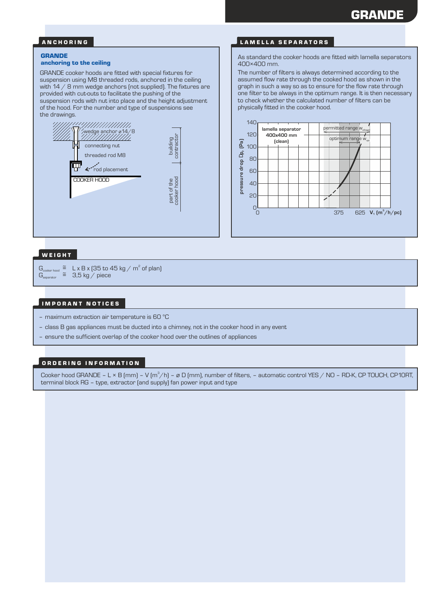#### A N C H O R I N G

#### **GRANDE**

#### anchoring to the ceiling

GRANDE cooker hoods are fitted with special fixtures for suspension using M8 threaded rods, anchored in the ceiling with 14 / 8 mm wedge anchors (not supplied). The fixtures are provided with cut-outs to facilitate the pushing of the suspension rods with nut into place and the height adjustment of the hood. For the number and type of suspensions see the drawings.



#### LAMELLA SEPARATORS

As standard the cooker hoods are fitted with lamella separators 400×400 mm.

The number of filters is always determined according to the assumed flow rate through the cooked hood as shown in the graph in such a way so as to ensure for the flow rate through one filter to be always in the optimum range. It is then necessary to check whether the calculated number of filters can be physically fitted in the cooker hood.



## WEIGHT

 $\mathsf{G}_{\tiny\mathsf{cooker\,hood}}\ \ \widetilde{=}\ \ \ \mathsf{L}\ \mathsf{x}\ \mathsf{B}\ \mathsf{x}\ \mathsf{(35\,to\,45\,kg\,/\,m^2\,of\,plan)}$  $G_{\text{separation}}^{\text{Coker-1600}} \cong 3.5 \text{ kg} / \text{ piece}$ 

#### IMPORANT NOTICES

- maximum extraction air temperature is 60 °C
- class B gas appliances must be ducted into a chimney, not in the cooker hood in any event
- ensure the sufficient overlap of the cooker hood over the outlines of appliances

#### ORDERING INFORMATION

Cooker hood GRANDE – L × B (mm) – V (m $^3$ /h) – ø D (mm), number of filters, – automatic control YES / NO – RD-K, CP TOUCH, CP10RT, terminal block RG – type, extractor (and supply) fan power input and type